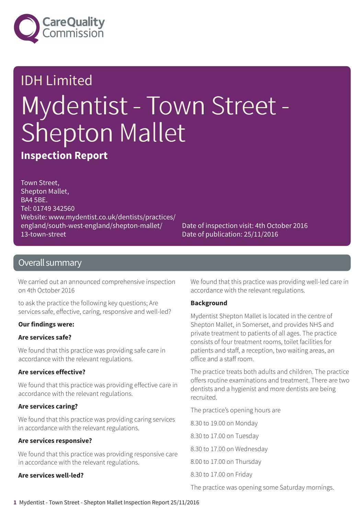

# IDH Limited Mydentist - Town Street - Shepton Mallet

**Inspection Report**

Town Street, Shepton Mallet, BA4 5BE. Tel: 01749 342560 Website: www.mydentist.co.uk/dentists/practices/ england/south-west-england/shepton-mallet/ 13-town-street

Date of inspection visit: 4th October 2016 Date of publication: 25/11/2016

### Overall summary

We carried out an announced comprehensive inspection on 4th October 2016

to ask the practice the following key questions; Are services safe, effective, caring, responsive and well-led?

#### **Our findings were:**

### **Are services safe?**

We found that this practice was providing safe care in accordance with the relevant regulations.

#### **Are services effective?**

We found that this practice was providing effective care in accordance with the relevant regulations.

### **Are services caring?**

We found that this practice was providing caring services in accordance with the relevant regulations.

#### **Are services responsive?**

We found that this practice was providing responsive care in accordance with the relevant regulations.

#### **Are services well-led?**

We found that this practice was providing well-led care in accordance with the relevant regulations.

#### **Background**

Mydentist Shepton Mallet is located in the centre of Shepton Mallet, in Somerset, and provides NHS and private treatment to patients of all ages. The practice consists of four treatment rooms, toilet facilities for patients and staff, a reception, two waiting areas, an office and a staff room.

The practice treats both adults and children. The practice offers routine examinations and treatment. There are two dentists and a hygienist and more dentists are being recruited.

The practice's opening hours are

8.30 to 19.00 on Monday

8.30 to 17.00 on Tuesday

8.30 to 17.00 on Wednesday

8.00 to 17.00 on Thursday

8.30 to 17.00 on Friday

The practice was opening some Saturday mornings.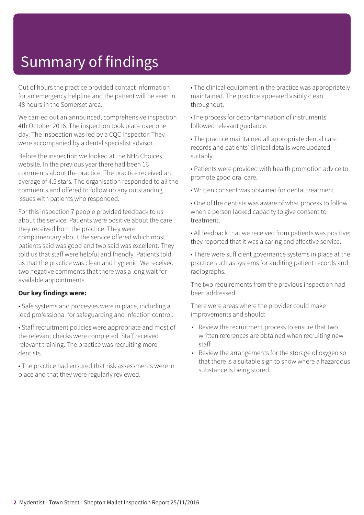# Summary of findings

Out of hours the practice provided contact information for an emergency helpline and the patient will be seen in 48 hours in the Somerset area.

We carried out an announced, comprehensive inspection 4th October 2016. The inspection took place over one day. The inspection was led by a CQC inspector. They were accompanied by a dental specialist advisor.

Before the inspection we looked at the NHS Choices website. In the previous year there had been 16 comments about the practice. The practice received an average of 4.5 stars. The organisation responded to all the comments and offered to follow up any outstanding issues with patients who responded.

For this inspection 7 people provided feedback to us about the service. Patients were positive about the care they received from the practice. They were complimentary about the service offered which most patients said was good and two said was excellent. They told us that staff were helpful and friendly. Patients told us that the practice was clean and hygienic. We received two negative comments that there was a long wait for available appointments.

#### **Our key findings were:**

• Safe systems and processes were in place, including a lead professional for safeguarding and infection control.

• Staff recruitment policies were appropriate and most of the relevant checks were completed. Staff received relevant training. The practice was recruiting more dentists.

• The practice had ensured that risk assessments were in place and that they were regularly reviewed.

• The clinical equipment in the practice was appropriately maintained. The practice appeared visibly clean throughout.

•The process for decontamination of instruments followed relevant guidance.

• The practice maintained all appropriate dental care records and patients' clinical details were updated suitably.

• Patients were provided with health promotion advice to promote good oral care.

• Written consent was obtained for dental treatment.

• One of the dentists was aware of what process to follow when a person lacked capacity to give consent to treatment.

• All feedback that we received from patients was positive; they reported that it was a caring and effective service.

• There were sufficient governance systems in place at the practice such as systems for auditing patient records and radiographs.

The two requirements from the previous inspection had been addressed.

There were areas where the provider could make improvements and should:

- Review the recruitment process to ensure that two written references are obtained when recruiting new staff.
- Review the arrangements for the storage of oxygen so that there is a suitable sign to show where a hazardous substance is being stored.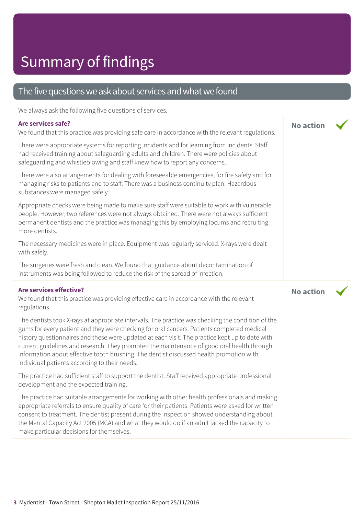### The five questions we ask about services and what we found

We always ask the following five questions of services.

#### **Are services safe?**

We found that this practice was providing safe care in accordance with the relevant regulations.

There were appropriate systems for reporting incidents and for learning from incidents. Staff had received training about safeguarding adults and children. There were policies about safeguarding and whistleblowing and staff knew how to report any concerns.

There were also arrangements for dealing with foreseeable emergencies, for fire safety and for managing risks to patients and to staff. There was a business continuity plan. Hazardous substances were managed safely.

Appropriate checks were being made to make sure staff were suitable to work with vulnerable people. However, two references were not always obtained. There were not always sufficient permanent dentists and the practice was managing this by employing locums and recruiting more dentists.

The necessary medicines were in place. Equipment was regularly serviced. X-rays were dealt with safely.

The surgeries were fresh and clean. We found that guidance about decontamination of instruments was being followed to reduce the risk of the spread of infection.

#### **Are services effective?**

We found that this practice was providing effective care in accordance with the relevant regulations.

The dentists took X-rays at appropriate intervals. The practice was checking the condition of the gums for every patient and they were checking for oral cancers. Patients completed medical history questionnaires and these were updated at each visit. The practice kept up to date with current guidelines and research. They promoted the maintenance of good oral health through information about effective tooth brushing. The dentist discussed health promotion with individual patients according to their needs.

The practice had sufficient staff to support the dentist. Staff received appropriate professional development and the expected training.

The practice had suitable arrangements for working with other health professionals and making appropriate referrals to ensure quality of care for their patients. Patients were asked for written consent to treatment. The dentist present during the inspection showed understanding about the Mental Capacity Act 2005 (MCA) and what they would do if an adult lacked the capacity to make particular decisions for themselves.

**No action**

**No action**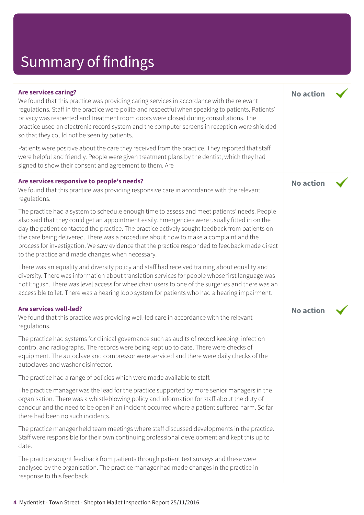# Summary of findings

| <b>Are services caring?</b><br>We found that this practice was providing caring services in accordance with the relevant<br>regulations. Staff in the practice were polite and respectful when speaking to patients. Patients'<br>privacy was respected and treatment room doors were closed during consultations. The<br>practice used an electronic record system and the computer screens in reception were shielded<br>so that they could not be seen by patients.                                                                          | <b>No action</b> |  |
|-------------------------------------------------------------------------------------------------------------------------------------------------------------------------------------------------------------------------------------------------------------------------------------------------------------------------------------------------------------------------------------------------------------------------------------------------------------------------------------------------------------------------------------------------|------------------|--|
| Patients were positive about the care they received from the practice. They reported that staff<br>were helpful and friendly. People were given treatment plans by the dentist, which they had<br>signed to show their consent and agreement to them. Are                                                                                                                                                                                                                                                                                       |                  |  |
| Are services responsive to people's needs?<br>We found that this practice was providing responsive care in accordance with the relevant<br>regulations.                                                                                                                                                                                                                                                                                                                                                                                         | <b>No action</b> |  |
| The practice had a system to schedule enough time to assess and meet patients' needs. People<br>also said that they could get an appointment easily. Emergencies were usually fitted in on the<br>day the patient contacted the practice. The practice actively sought feedback from patients on<br>the care being delivered. There was a procedure about how to make a complaint and the<br>process for investigation. We saw evidence that the practice responded to feedback made direct<br>to the practice and made changes when necessary. |                  |  |
| There was an equality and diversity policy and staff had received training about equality and<br>diversity. There was information about translation services for people whose first language was<br>not English. There was level access for wheelchair users to one of the surgeries and there was an<br>accessible toilet. There was a hearing loop system for patients who had a hearing impairment.                                                                                                                                          |                  |  |
| Are services well-led?<br>We found that this practice was providing well-led care in accordance with the relevant<br>regulations.                                                                                                                                                                                                                                                                                                                                                                                                               | <b>No action</b> |  |
| The practice had systems for clinical governance such as audits of record keeping, infection<br>control and radiographs. The records were being kept up to date. There were checks of<br>equipment. The autoclave and compressor were serviced and there were daily checks of the<br>autoclaves and washer disinfector.                                                                                                                                                                                                                         |                  |  |
| The practice had a range of policies which were made available to staff.                                                                                                                                                                                                                                                                                                                                                                                                                                                                        |                  |  |
| The practice manager was the lead for the practice supported by more senior managers in the<br>organisation. There was a whistleblowing policy and information for staff about the duty of<br>candour and the need to be open if an incident occurred where a patient suffered harm. So far<br>there had been no such incidents.                                                                                                                                                                                                                |                  |  |
| The practice manager held team meetings where staff discussed developments in the practice.<br>Staff were responsible for their own continuing professional development and kept this up to<br>date.                                                                                                                                                                                                                                                                                                                                            |                  |  |
| The practice sought feedback from patients through patient text surveys and these were<br>analysed by the organisation. The practice manager had made changes in the practice in<br>response to this feedback.                                                                                                                                                                                                                                                                                                                                  |                  |  |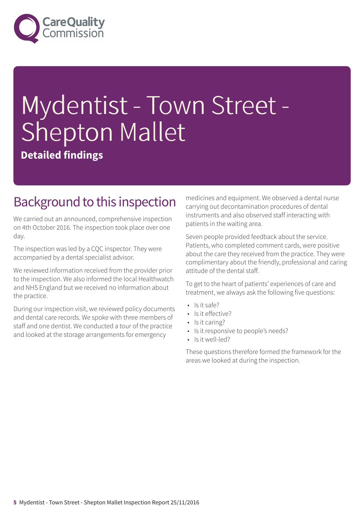

# Mydentist - Town Street - Shepton Mallet

**Detailed findings**

### Background to this inspection

We carried out an announced, comprehensive inspection on 4th October 2016. The inspection took place over one day.

The inspection was led by a CQC inspector. They were accompanied by a dental specialist advisor.

We reviewed information received from the provider prior to the inspection. We also informed the local Healthwatch and NHS England but we received no information about the practice.

During our inspection visit, we reviewed policy documents and dental care records. We spoke with three members of staff and one dentist. We conducted a tour of the practice and looked at the storage arrangements for emergency

medicines and equipment. We observed a dental nurse carrying out decontamination procedures of dental instruments and also observed staff interacting with patients in the waiting area.

Seven people provided feedback about the service. Patients, who completed comment cards, were positive about the care they received from the practice. They were complimentary about the friendly, professional and caring attitude of the dental staff.

To get to the heart of patients' experiences of care and treatment, we always ask the following five questions:

- Is it safe?
- Is it effective?
- Is it caring?
- Is it responsive to people's needs?
- Is it well-led?

These questions therefore formed the framework for the areas we looked at during the inspection.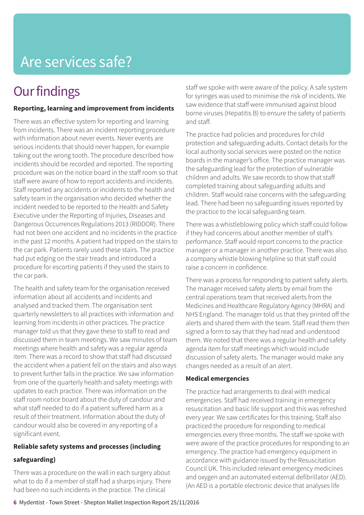# **Our findings**

### **Reporting, learning and improvement from incidents**

There was an effective system for reporting and learning from incidents. There was an incident reporting procedure with information about never events. Never events are serious incidents that should never happen, for example taking out the wrong tooth. The procedure described how incidents should be recorded and reported. The reporting procedure was on the notice board in the staff room so that staff were aware of how to report accidents and incidents. Staff reported any accidents or incidents to the health and safety team in the organisation who decided whether the incident needed to be reported to the Health and Safety Executive under the Reporting of Injuries, Diseases and Dangerous Occurrences Regulations 2013 (RIDDOR). There had not been one accident and no incidents in the practice in the past 12 months. A patient had tripped on the stairs to the car park. Patients rarely used these stairs. The practice had put edging on the stair treads and introduced a procedure for escorting patients if they used the stairs to the car park.

The health and safety team for the organisation received information about all accidents and incidents and analysed and tracked them. The organisation sent quarterly newsletters to all practices with information and learning from incidents in other practices. The practice manager told us that they gave these to staff to read and discussed them in team meetings. We saw minutes of team meetings where health and safety was a regular agenda item. There was a record to show that staff had discussed the accident when a patient fell on the stairs and also ways to prevent further falls in the practice. We saw information from one of the quarterly health and safety meetings with updates to each practice. There was information on the staff room notice board about the duty of candour and what staff needed to do if a patient suffered harm as a result of their treatment. Information about the duty of candour would also be covered in any reporting of a significant event.

### **Reliable safety systems and processes (including**

### **safeguarding)**

There was a procedure on the wall in each surgery about what to do if a member of staff had a sharps injury. There had been no such incidents in the practice. The clinical

staff we spoke with were aware of the policy. A safe system for syringes was used to minimise the risk of incidents. We saw evidence that staff were immunised against blood borne viruses (Hepatitis B) to ensure the safety of patients and staff.

The practice had policies and procedures for child protection and safeguarding adults. Contact details for the local authority social services were posted on the notice boards in the manager's office. The practice manager was the safeguarding lead for the protection of vulnerable children and adults. We saw records to show that staff completed training about safeguarding adults and children. Staff would raise concerns with the safeguarding lead. There had been no safeguarding issues reported by the practice to the local safeguarding team.

There was a whistleblowing policy which staff could follow if they had concerns about another member of staff's performance. Staff would report concerns to the practice manager or a manager in another practice. There was also a company whistle blowing helpline so that staff could raise a concern in confidence.

There was a process for responding to patient safety alerts. The manager received safety alerts by email from the central operations team that received alerts from the Medicines and Healthcare Regulatory Agency (MHRA) and NHS England. The manager told us that they printed off the alerts and shared them with the team. Staff read them then signed a form to say that they had read and understood them. We noted that there was a regular health and safety agenda item for staff meetings which would include discussion of safety alerts. The manager would make any changes needed as a result of an alert.

### **Medical emergencies**

The practice had arrangements to deal with medical emergencies. Staff had received training in emergency resuscitation and basic life support and this was refreshed every year. We saw certificates for this training. Staff also practiced the procedure for responding to medical emergencies every three months. The staff we spoke with were aware of the practice procedures for responding to an emergency. The practice had emergency equipment in accordance with guidance issued by the Resuscitation Council UK. This included relevant emergency medicines and oxygen and an automated external defibrillator (AED). (An AED is a portable electronic device that analyses life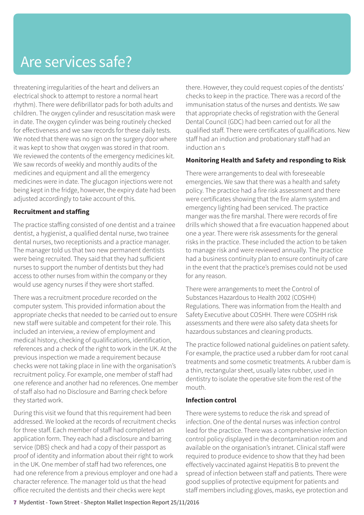threatening irregularities of the heart and delivers an electrical shock to attempt to restore a normal heart rhythm). There were defibrillator pads for both adults and children. The oxygen cylinder and resuscitation mask were in date. The oxygen cylinder was being routinely checked for effectiveness and we saw records for these daily tests. We noted that there was no sign on the surgery door where it was kept to show that oxygen was stored in that room. We reviewed the contents of the emergency medicines kit. We saw records of weekly and monthly audits of the medicines and equipment and all the emergency medicines were in date. The glucagon injections were not being kept in the fridge, however, the expiry date had been adjusted accordingly to take account of this.

### **Recruitment and staffing**

The practice staffing consisted of one dentist and a trainee dentist, a hygienist, a qualified dental nurse, two trainee dental nurses, two receptionists and a practice manager. The manager told us that two new permanent dentists were being recruited. They said that they had sufficient nurses to support the number of dentists but they had access to other nurses from within the company or they would use agency nurses if they were short staffed.

There was a recruitment procedure recorded on the computer system. This provided information about the appropriate checks that needed to be carried out to ensure new staff were suitable and competent for their role. This included an interview, a review of employment and medical history, checking of qualifications, identification, references and a check of the right to work in the UK. At the previous inspection we made a requirement because checks were not taking place in line with the organisation's recruitment policy. For example, one member of staff had one reference and another had no references. One member of staff also had no Disclosure and Barring check before they started work.

During this visit we found that this requirement had been addressed. We looked at the records of recruitment checks for three staff. Each member of staff had completed an application form. They each had a disclosure and barring service (DBS) check and had a copy of their passport as proof of identity and information about their right to work in the UK. One member of staff had two references, one had one reference from a previous employer and one had a character reference. The manager told us that the head office recruited the dentists and their checks were kept

there. However, they could request copies of the dentists' checks to keep in the practice. There was a record of the immunisation status of the nurses and dentists. We saw that appropriate checks of registration with the General Dental Council (GDC) had been carried out for all the qualified staff. There were certificates of qualifications. New staff had an induction and probationary staff had an induction an s

#### **Monitoring Health and Safety and responding to Risk**

There were arrangements to deal with foreseeable emergencies. We saw that there was a health and safety policy. The practice had a fire risk assessment and there were certificates showing that the fire alarm system and emergency lighting had been serviced. The practice manger was the fire marshal. There were records of fire drills which showed that a fire evacuation happened about one a year. There were risk assessments for the general risks in the practice. These included the action to be taken to manage risk and were reviewed annually. The practice had a business continuity plan to ensure continuity of care in the event that the practice's premises could not be used for any reason.

There were arrangements to meet the Control of Substances Hazardous to Health 2002 (COSHH) Regulations. There was information from the Health and Safety Executive about COSHH. There were COSHH risk assessments and there were also safety data sheets for hazardous substances and cleaning products.

The practice followed national guidelines on patient safety. For example, the practice used a rubber dam for root canal treatments and some cosmetic treatments. A rubber dam is a thin, rectangular sheet, usually latex rubber, used in dentistry to isolate the operative site from the rest of the mouth.

#### **Infection control**

There were systems to reduce the risk and spread of infection. One of the dental nurses was infection control lead for the practice. There was a comprehensive infection control policy displayed in the decontamination room and available on the organisation's intranet. Clinical staff were required to produce evidence to show that they had been effectively vaccinated against Hepatitis B to prevent the spread of infection between staff and patients. There were good supplies of protective equipment for patients and staff members including gloves, masks, eye protection and

**7** Mydentist - Town Street - Shepton Mallet Inspection Report 25/11/2016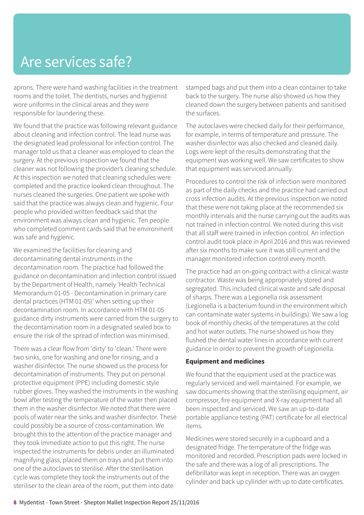aprons. There were hand washing facilities in the treatment rooms and the toilet. The dentists, nurses and hygienist wore uniforms in the clinical areas and they were responsible for laundering these.

We found that the practice was following relevant guidance about cleaning and infection control. The lead nurse was the designated lead professional for infection control. The manager told us that a cleaner was employed to clean the surgery. At the previous inspection we found that the cleaner was not following the provider's cleaning schedule. At this inspection we noted that cleaning schedules were completed and the practice looked clean throughout. The nurses cleaned the surgeries. One patient we spoke with said that the practice was always clean and hygienic. Four people who provided written feedback said that the environment was always clean and hygienic. Ten people who completed comment cards said that he environment was safe and hygienic.

We examined the facilities for cleaning and decontaminating dental instruments in the decontamination room. The practice had followed the guidance on decontamination and infection control issued by the Department of Health, namely 'Health Technical Memorandum 01-05 - Decontamination in primary care dental practices (HTM 01-05)' when setting up their decontamination room. In accordance with HTM 01-05 guidance dirty instruments were carried from the surgery to the decontamination room in a designated sealed box to ensure the risk of the spread of infection was minimised.

There was a clear flow from 'dirty' to 'clean.' There were two sinks, one for washing and one for rinsing, and a washer disinfector. The nurse showed us the process for decontamination of instruments. They put on personal protective equipment (PPE) including domestic style rubber gloves. They washed the instruments in the washing bowl after testing the temperature of the water then placed them in the washer disinfector. We noted that there were pools of water near the sinks and washer disinfector. These could possibly be a source of cross-contamination. We brought this to the attention of the practice manager and they took immediate action to put this right. The nurse inspected the instruments for debris under an illuminated magnifying glass, placed them on trays and put them into one of the autoclaves to sterilise. After the sterilisation cycle was complete they took the instruments out of the steriliser to the clean area of the room, put them into date

stamped bags and put them into a clean container to take back to the surgery. The nurse also showed us how they cleaned down the surgery between patients and sanitised the surfaces.

The autoclaves were checked daily for their performance, for example, in terms of temperature and pressure. The washer disinfector was also checked and cleaned daily. Logs were kept of the results demonstrating that the equipment was working well. We saw certificates to show that equipment was serviced annually.

Procedures to control the risk of infection were monitored as part of the daily checks and the practice had carried out cross infection audits. At the previous inspection we noted that these were not taking place at the recommended six monthly intervals and the nurse carrying out the audits was not trained in infection control. We noted during this visit that all staff were trained in infection control. An infection control audit took place in April 2016 and this was reviewed after six months to make sure it was still current and the manager monitored infection control every month.

The practice had an on-going contract with a clinical waste contractor. Waste was being appropriately stored and segregated. This included clinical waste and safe disposal of sharps. There was a Legionella risk assessment (Legionella is a bacterium found in the environment which can contaminate water systems in buildings). We saw a log book of monthly checks of the temperatures at the cold and hot water outlets. The nurse showed us how they flushed the dental water lines in accordance with current guidance in order to prevent the growth of Legionella.

#### **Equipment and medicines**

We found that the equipment used at the practice was regularly serviced and well maintained. For example, we saw documents showing that the sterilising equipment, air compressor, fire equipment and X-ray equipment had all been inspected and serviced. We saw an up-to-date portable appliance testing (PAT) certificate for all electrical items.

Medicines were stored securely in a cupboard and a designated fridge. The temperature of the fridge was monitored and recorded. Prescription pads were locked in the safe and there was a log of all prescriptions. The defibrillator was kept in reception. There was an oxygen cylinder and back up cylinder with up to date certificates.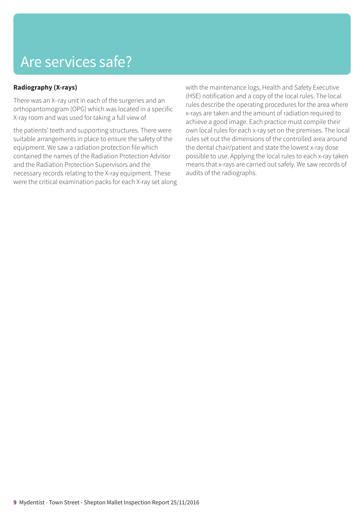### **Radiography (X-rays)**

There was an X–ray unit in each of the surgeries and an orthopantomogram (OPG) which was located in a specific X-ray room and was used for taking a full view of

the patients' teeth and supporting structures. There were suitable arrangements in place to ensure the safety of the equipment. We saw a radiation protection file which contained the names of the Radiation Protection Advisor and the Radiation Protection Supervisors and the necessary records relating to the X-ray equipment. These were the critical examination packs for each X-ray set along with the maintenance logs, Health and Safety Executive (HSE) notification and a copy of the local rules. The local rules describe the operating procedures for the area where x-rays are taken and the amount of radiation required to achieve a good image. Each practice must compile their own local rules for each x-ray set on the premises. The local rules set out the dimensions of the controlled area around the dental chair/patient and state the lowest x-ray dose possible to use. Applying the local rules to each x-ray taken means that x-rays are carried out safely. We saw records of audits of the radiographs.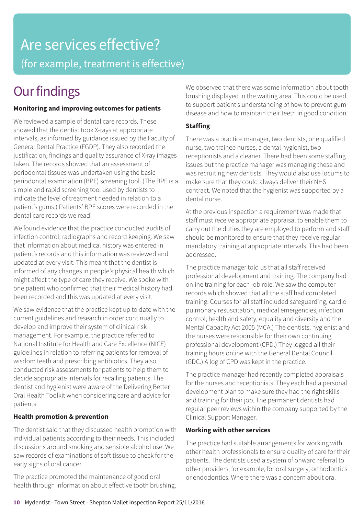# Are services effective? (for example, treatment is effective)

# **Our findings**

### **Monitoring and improving outcomes for patients**

We reviewed a sample of dental care records. These showed that the dentist took X-rays at appropriate intervals, as informed by guidance issued by the Faculty of General Dental Practice (FGDP). They also recorded the justification, findings and quality assurance of X-ray images taken. The records showed that an assessment of periodontal tissues was undertaken using the basic periodontal examination (BPE) screening tool. (The BPE is a simple and rapid screening tool used by dentists to indicate the level of treatment needed in relation to a patient's gums.) Patients' BPE scores were recorded in the dental care records we read.

We found evidence that the practice conducted audits of infection control, radiographs and record keeping. We saw that information about medical history was entered in patient's records and this information was reviewed and updated at every visit. This meant that the dentist is informed of any changes in people's physical health which might affect the type of care they receive. We spoke with one patient who confirmed that their medical history had been recorded and this was updated at every visit.

We saw evidence that the practice kept up to date with the current guidelines and research in order continually to develop and improve their system of clinical risk management. For example, the practice referred to National Institute for Health and Care Excellence (NICE) guidelines in relation to referring patients for removal of wisdom teeth and prescribing antibiotics. They also conducted risk assessments for patients to help them to decide appropriate intervals for recalling patients. The dentist and hygienist were aware of the Delivering Better Oral Health Toolkit when considering care and advice for patients.

### **Health promotion & prevention**

The dentist said that they discussed health promotion with individual patients according to their needs. This included discussions around smoking and sensible alcohol use. We saw records of examinations of soft tissue to check for the early signs of oral cancer.

The practice promoted the maintenance of good oral health through information about effective tooth brushing. We observed that there was some information about tooth brushing displayed in the waiting area. This could be used to support patient's understanding of how to prevent gum disease and how to maintain their teeth in good condition.

### **Staffing**

There was a practice manager, two dentists, one qualified nurse, two trainee nurses, a dental hygienist, two receptionists and a cleaner. There had been some staffing issues but the practice manager was managing these and was recruiting new dentists. They would also use locums to make sure that they could always deliver their NHS contract. We noted that the hygienist was supported by a dental nurse.

At the previous inspection a requirement was made that staff must receive appropriate appraisal to enable them to carry out the duties they are employed to perform and staff should be monitored to ensure that they receive regular mandatory training at appropriate intervals. This had been addressed.

The practice manager told us that all staff received professional development and training. The company had online training for each job role. We saw the computer records which showed that all the staff had completed training. Courses for all staff included safeguarding, cardio pulmonary resuscitation, medical emergencies, infection control, health and safety, equality and diversity and the Mental Capacity Act 2005 (MCA.) The dentists, hygienist and the nurses were responsible for their own continuing professional development (CPD.) They logged all their training hours online with the General Dental Council (GDC.) A log of CPD was kept in the practice.

The practice manager had recently completed appraisals for the nurses and receptionists. They each had a personal development plan to make sure they had the right skills and training for their job. The permanent dentists had regular peer reviews within the company supported by the Clinical Support Manager.

### **Working with other services**

The practice had suitable arrangements for working with other health professionals to ensure quality of care for their patients. The dentists used a system of onward referral to other providers, for example, for oral surgery, orthodontics or endodontics. Where there was a concern about oral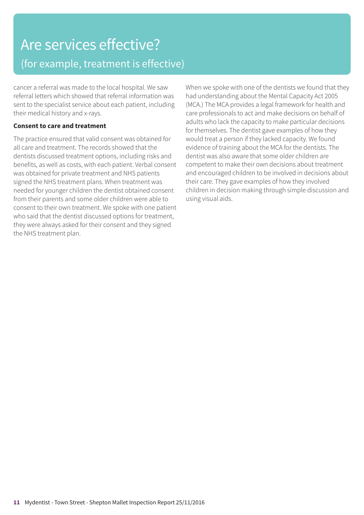# Are services effective? (for example, treatment is effective)

cancer a referral was made to the local hospital. We saw referral letters which showed that referral information was sent to the specialist service about each patient, including their medical history and x-rays.

#### **Consent to care and treatment**

The practice ensured that valid consent was obtained for all care and treatment. The records showed that the dentists discussed treatment options, including risks and benefits, as well as costs, with each patient. Verbal consent was obtained for private treatment and NHS patients signed the NHS treatment plans. When treatment was needed for younger children the dentist obtained consent from their parents and some older children were able to consent to their own treatment. We spoke with one patient who said that the dentist discussed options for treatment, they were always asked for their consent and they signed the NHS treatment plan.

When we spoke with one of the dentists we found that they had understanding about the Mental Capacity Act 2005 (MCA.) The MCA provides a legal framework for health and care professionals to act and make decisions on behalf of adults who lack the capacity to make particular decisions for themselves. The dentist gave examples of how they would treat a person if they lacked capacity. We found evidence of training about the MCA for the dentists. The dentist was also aware that some older children are competent to make their own decisions about treatment and encouraged children to be involved in decisions about their care. They gave examples of how they involved children in decision making through simple discussion and using visual aids.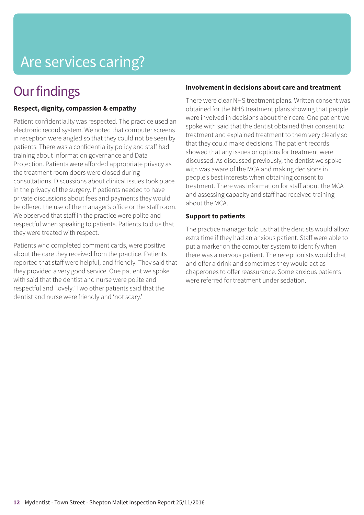# Are services caring?

### **Our findings**

#### **Respect, dignity, compassion & empathy**

Patient confidentiality was respected. The practice used an electronic record system. We noted that computer screens in reception were angled so that they could not be seen by patients. There was a confidentiality policy and staff had training about information governance and Data Protection. Patients were afforded appropriate privacy as the treatment room doors were closed during consultations. Discussions about clinical issues took place in the privacy of the surgery. If patients needed to have private discussions about fees and payments they would be offered the use of the manager's office or the staff room. We observed that staff in the practice were polite and respectful when speaking to patients. Patients told us that they were treated with respect.

Patients who completed comment cards, were positive about the care they received from the practice. Patients reported that staff were helpful, and friendly. They said that they provided a very good service. One patient we spoke with said that the dentist and nurse were polite and respectful and 'lovely.' Two other patients said that the dentist and nurse were friendly and 'not scary.'

#### **Involvement in decisions about care and treatment**

There were clear NHS treatment plans. Written consent was obtained for the NHS treatment plans showing that people were involved in decisions about their care. One patient we spoke with said that the dentist obtained their consent to treatment and explained treatment to them very clearly so that they could make decisions. The patient records showed that any issues or options for treatment were discussed. As discussed previously, the dentist we spoke with was aware of the MCA and making decisions in people's best interests when obtaining consent to treatment. There was information for staff about the MCA and assessing capacity and staff had received training about the MCA.

#### **Support to patients**

The practice manager told us that the dentists would allow extra time if they had an anxious patient. Staff were able to put a marker on the computer system to identify when there was a nervous patient. The receptionists would chat and offer a drink and sometimes they would act as chaperones to offer reassurance. Some anxious patients were referred for treatment under sedation.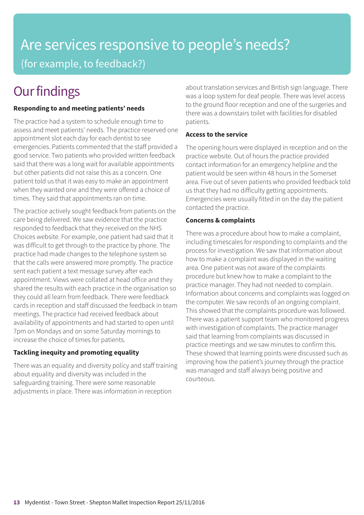# Are services responsive to people's needs? (for example, to feedback?)

# **Our findings**

### **Responding to and meeting patients' needs**

The practice had a system to schedule enough time to assess and meet patients' needs. The practice reserved one appointment slot each day for each dentist to see emergencies. Patients commented that the staff provided a good service. Two patients who provided written feedback said that there was a long wait for available appointments but other patients did not raise this as a concern. One patient told us that it was easy to make an appointment when they wanted one and they were offered a choice of times. They said that appointments ran on time.

The practice actively sought feedback from patients on the care being delivered. We saw evidence that the practice responded to feedback that they received on the NHS Choices website. For example, one patient had said that it was difficult to get through to the practice by phone. The practice had made changes to the telephone system so that the calls were answered more promptly. The practice sent each patient a text message survey after each appointment. Views were collated at head office and they shared the results with each practice in the organisation so they could all learn from feedback. There were feedback cards in reception and staff discussed the feedback in team meetings. The practice had received feedback about availability of appointments and had started to open until 7pm on Mondays and on some Saturday mornings to increase the choice of times for patients.

### **Tackling inequity and promoting equality**

There was an equality and diversity policy and staff training about equality and diversity was included in the safeguarding training. There were some reasonable adjustments in place. There was information in reception

about translation services and British sign language. There was a loop system for deaf people. There was level access to the ground floor reception and one of the surgeries and there was a downstairs toilet with facilities for disabled patients.

### **Access to the service**

The opening hours were displayed in reception and on the practice website. Out of hours the practice provided contact information for an emergency helpline and the patient would be seen within 48 hours in the Somerset area. Five out of seven patients who provided feedback told us that they had no difficulty getting appointments. Emergencies were usually fitted in on the day the patient contacted the practice.

### **Concerns & complaints**

There was a procedure about how to make a complaint, including timescales for responding to complaints and the process for investigation. We saw that information about how to make a complaint was displayed in the waiting area. One patient was not aware of the complaints procedure but knew how to make a complaint to the practice manager. They had not needed to complain. Information about concerns and complaints was logged on the computer. We saw records of an ongoing complaint. This showed that the complaints procedure was followed. There was a patient support team who monitored progress with investigation of complaints. The practice manager said that learning from complaints was discussed in practice meetings and we saw minutes to confirm this. These showed that learning points were discussed such as improving how the patient's journey through the practice was managed and staff always being positive and courteous.